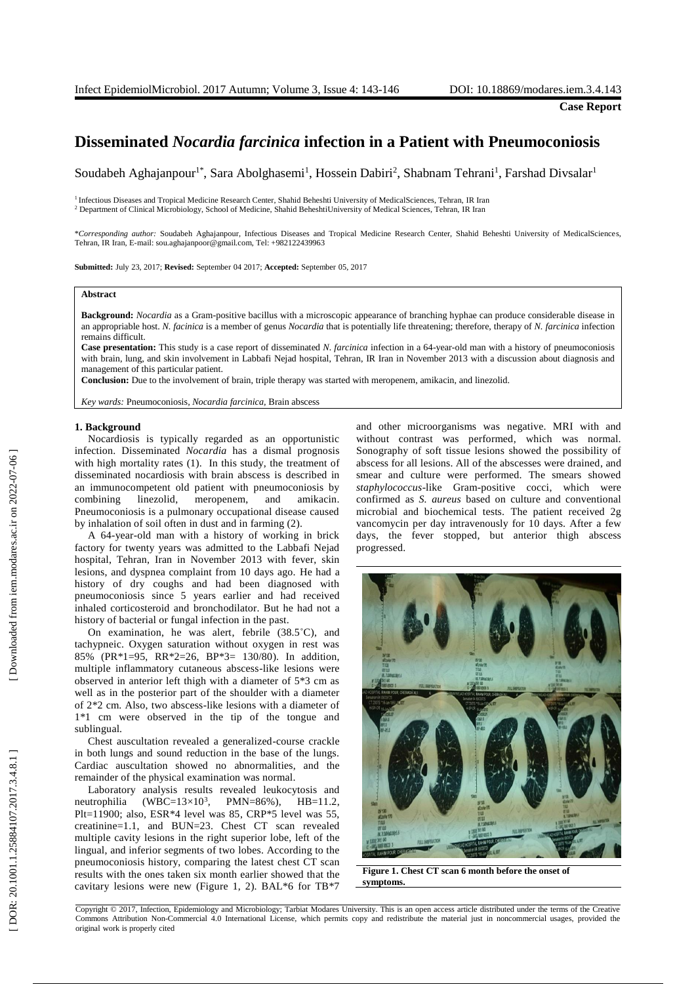# **Disseminated** *Nocardia farcinica* **infection in a Patient with Pneumoconiosis**

Soudabeh Aghajanpour<sup>1\*</sup>, Sara Abolghasemi<sup>1</sup>, Hossein Dabiri<sup>2</sup>, Shabnam Tehrani<sup>1</sup>, Farshad Divsalar<sup>1</sup>

<sup>1</sup> Infectious Diseases and Tropical Medicine Research Center, Shahid Beheshti University of MedicalSciences, Tehran, IR Iran <sup>2</sup> Department of Clinical Microbiology, School of Medicine, Shahid BeheshtiUniversity of Medical Sciences, Tehran, IR Iran

\**Corresponding author:* Soudabeh Aghajanpour, Infectious Diseases and Tropical Medicine Research Center, Shahid Beheshti University of MedicalSciences, Tehran, IR Iran, E -mail: sou.aghajanpoor@gmail.com, Tel: +982122439963

**Submitted:** July 23, 2017; **Revised:** September 04 2017; **Accepted:** September 05, 2017

#### **Abstract**

Background: Nocardia as a Gram-positive bacillus with a microscopic appearance of branching hyphae can produce considerable disease in an appropriable host. *N. facinica* is a member of genus *Nocardia* that is potentially life threatening; therefore, therapy of *N. farcinica* infection remains difficult.

Case presentation: This study is a case report of disseminated *N. farcinica* infection in a 64-year-old man with a history of pneumoconiosis with brain, lung, and skin involvement in Labbafi Nejad hospital, Tehran, IR Iran in November 2013 with a discussion about diagnosis and management of this particular patient.

**Conclusion:** Due to the involvement of brain, triple therapy was started with meropenem, amikacin, and linezolid.

*Key wards:* Pneumoconiosis*, Nocardia farcinica,* Brain abscess

#### **1 . Background**

Nocardiosis is typically regarded as an opportunistic infection. Disseminated *Nocardia* has a dismal prognosis with high mortality rates ( 1). In this study, the treatment of disseminated nocardiosis with brain abscess is described in an immunocompetent old patient with pneumoconiosis by combining linezolid. , meropenem , and amikacin. Pneumoconiosis is a pulmonary occupational disease caused by inhalation of soil often in dust and in farming (2).

A 64 -year -old man with a history of working in brick factory for twenty years was admitted to the Labbafi Nejad hospital, Tehran, Iran in November 2013 with fever, skin lesions , and dyspnea complaint from 10 days ago. He had a history of dry coughs and had been diagnosed with pneumoconiosis since 5 years earlier and had received inhaled corticosteroid and bronchodilator. But he had not a history of bacterial or fungal infection in the past.

On examination, he was alert, febrile (38.5°C), and tachypneic. Oxygen saturation without oxygen in rest was 85% (PR\*1=95 , RR\*2=26, BP\*3= 130/80 ) . In addition, multiple inflammatory cutaneous abscess -like lesions were observed in anterior left thigh with a diameter of 5\*3 cm as well as in the posterior part of the shoulder with a diameter of 2\*2 cm. Also , two abscess -like lesions with a diameter of 1\*1 cm were observed in the tip of the tongue and sublingual.

Chest auscultation revealed a generalized -course crackle in both lungs and sound reduction in the base of the lungs. Cardiac auscultation showed no abnormalities , and the remainder of the physical examination was normal.

Laboratory analysis results revealed leukocytosis and neutrophilia  $(WBC=13\times10^3, PMN=86\%), HH=11.2,$ Plt=11900; also, ESR\*4 level was 85, CRP\*5 level was 55, creatinine=1 .1, and BUN=23. Chest CT scan revealed multiple cavity lesions in the right superior lobe, left of the lingual , and inferior segments of two lobes. According to the pneumoconiosis history, comparing the latest chest CT scan results with the ones taken six month earlier showed that the cavitary lesions were new (Figure 1 , 2). BAL\*6 for TB\*7 and other microorganisms was negative. MRI with and without contrast was performed , which was normal. Sonography of soft tissue lesions showed the possibility of abscess for all lesions. All of the abscesses were drained , and smear and culture were performed. The smears showed staphylococcus-like Gram-positive cocci, which were confirmed as *S. aureus* based on culture and conventional microbial and biochemical tests. The patient received 2g vancomycin per day intravenously for 10 days. After a few days , the fever stopped , but anterior thigh abscess progressed.



**Figure 1 . Chest CT scan 6 month before the onset of symptoms .**

Copyright © 2017, Infection, Epidemiology and Microbiology; Tarbiat Modares University. This is an open access article distributed under the terms of the Creative Commons Attribution Non -Commercial 4.0 International License, which permits copy and redistribute the material just in noncommercial usages, provided the original work is properly cited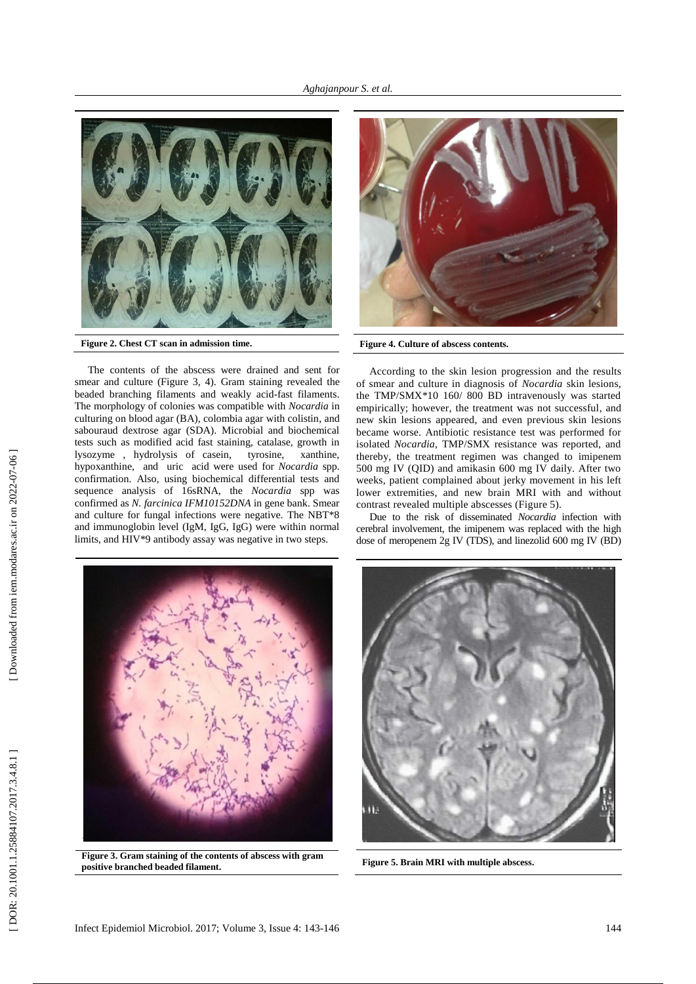

**Figure 2 . Chest CT scan in admission time .**

The contents of the abscess were drained and sent for smear and culture (Figure 3, 4). Gram staining revealed the beaded branching filaments and weakly acid -fast filaments. The morphology of colonies was compatible with *Nocardia* in culturing on blood agar (BA), colombia agar with colistin , and sabouraud dextrose agar (SDA). Microbial and biochemical tests such as modified acid fast staining, catalase, growth in lysozyme , hydrolysis of casein, tyrosine, xanthine, hypoxanthine , and uric acid were used for *Nocardia* spp . confirmation. Also , using biochemical differential tests and sequence analysis of 16sRNA, the *Nocardia* spp was confirmed as *N. farcinica IFM10152DNA* in gene bank. Smear and culture for fungal infections were negative. The NBT\*8 and immunoglobin level (IgM, IgG, IgG) were within normal limits , and HIV\*9 antibody assay was negative in two steps.



**Figure 4 . Culture of abscess contents .**

According to the skin lesion progression and the result s of smear and culture in diagnosis of *Nocardia* skin lesions, the TMP/SMX\*10 160/ 800 BD intravenously was started empirically ; however , the treatment was not successful , and new skin lesions appeared , and even previous skin lesions became worse. Antibiotic resistanc e test was performed for isolated *Nocardia*, TMP/SMX resistance was reported, and thereby, the treatment regimen was changed to imipenem 500 mg IV (QID) and amikasin 600 mg IV daily. After two weeks, patient complained about jerky movement in his left lower extremities , and new brain MRI with and without contrast revealed multiple abscesses (Figure 5).

Due to the risk of disseminated *Nocardia* infection with cerebral involvement, the imipenem was replaced with the high dose of meropenem 2g IV (TDS), and linezolid 600 mg IV (BD)



**Figure 3 . Gram staining of the contents of abscess with gram positive branched beaded filament .**



**Figure 5 . Brain MRI with multiple abscess .**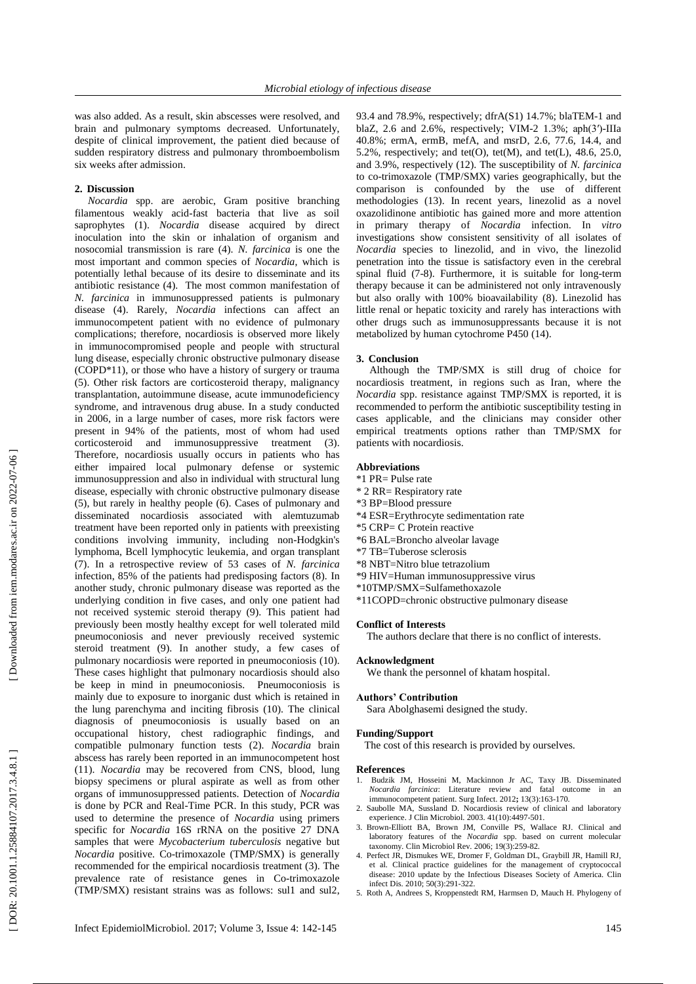was also added. As a result, skin abscesses were resolved , and brain and pulmonary symptoms decreased. Unfortunately, despite of clinical improvement, the patient died because of sudden respiratory distress and pulmonary thromboembolism six weeks after admission .

### **2 . Discussion**

*Nocardia* spp. are aerobic, Gram positive branching filamentous we akly acid -fast bacteria that live as soil saprophytes ( 1 ). *Nocardia* disease acquired by direct inoculation into the skin or inhalation of organism and nosocomial transmission is rare (4). *N. farcinica* is one the most important and common species of *Nocardia* , which is potentially lethal because of its de sire to disseminat e and its antibiotic resistanc e (4). The most common manifestation of *N. farcinica* in immunosuppressed patients is pulmonary disease ( 4 ) . Rarely, *Nocardia* infections can affect an immunocompetent patient with no evidence of pulmonary complications; therefore, nocardiosis is observed more likely in immunocompromised people and people with structural lung disease, especially chronic obstructive pulmonary disease (COPD\*11), or those who have a history of surgery or trauma (5). Other risk factors are corticosteroid therapy, malignancy transplantation, autoimmune disease, acute immunodeficiency syndrome, and intravenous drug abuse. In a study conducted in 2006, i n a large number of cases, more risk factors were present in 94% of the patients , most of whom had used corticosteroid and immunosuppressive treatment (3). Therefore, nocardiosis usually occurs in patients who has either impaired local pulmonary defense or systemic immunosuppression and also in individual with structural lung disease, especially with chronic obstructive pulmonary disease (5), but rarely in healthy people (6). Cases of pulmonary and disseminated nocardiosis associated with alemtuzumab treatment have been reported only in patients with preexisting conditions involving immunity, including non -Hodgkin's lymphoma, Bcell lymphocytic leukemia , and organ transplant (7). In a retrospective review of 53 cases of *N. farcinica* infection, 85% of the patients had predisposing factors (8). In another study, chronic pulmonary disease was reported as the underlying condition in five cases, and only one patient had not received systemic steroid therapy (9). This patient had previously been mostly healthy except for well tolerated mild pneumoconiosis and never previously received systemic steroid treatment (9). In another study, a few cases of pulmonary nocardiosis were reported in pneumoconiosis (10). These case s highlight that pulmonary nocardiosis should also be keep in mind in pneumoconiosis. Pneumoconiosis is mainly due to exposure to inorganic dust which is retained in the lung parenchyma and inciting fibrosis (10). The clinical diagnosis of pneumoconiosis is usually based on an occupational history, chest radiographic findings, and compatible pulmonary function tests (2). *Nocardia* brain abscess has rarely been reported in an immunocompetent host (11). *Nocardia* may be recovered from CNS, blood, lung biopsy specimens or plural aspirate as well as from other organs of immunosuppressed patients. Detection of *Nocardia* is done by PCR and Real -Time PCR. In this study, PCR was used to determine the presence of *Nocardia* using primers specific for *Nocardia* 16S rRNA on the positive 27 DNA samples that were *Mycobacterium tuberculosis* negative but *Nocardia* positive. Co -trimoxazole (TMP/SMX) is generally recommended for the empirical nocardiosis treatment (3). The prevalence rate of resistance genes in Co -trimoxazole (TMP/SMX) resistant strains was as follows: sul1 and sul2 ,

93.4 and 78.9%, respectively ; dfrA(S1) 14.7%; blaTEM -1 and blaZ , 2.6 and 2.6%, respectively ; VIM -2 1.3% ; aph(3′) -IIIa 40.8% ; ermA, ermB, mefA, and msrD , 2.6, 77.6, 14.4, and 5.2%, respectively; and tet(O), tet(M), and tet(L),  $48.6, 25.0$ , and 3.9%, respectively (12). The susceptibility of *N. farcinic a* to co -trimoxazole (TMP/SMX) varies geographically, but the comparison is confounded by the use of different methodologies (13). In recent years, linezolid as a novel oxazolidinone antibiotic has gained more and more attention in primary therapy of *Nocardia* infection. In *vitro*  investigations show consistent sensitivity of all isolates of *Nocardia* species to linezolid, and in vivo, the linezolid penetration into the tissue is satisfactory even in the cerebral spinal fluid (7 -8). Furthermore, it is suitable for long -term therapy because it can be administered not only intravenously but also orally with 100% bioavailability (8) . Linezolid has little renal or hepatic toxicity and rarely has interactions with other drugs such as immunosuppressants because it is not metabolized by human cytochrome P450 (14).

**3. Conclusion** nocardiosis treatment, in regions such as Iran, where the *Nocardia* spp. resistanc e against TMP/SMX is reported, it is recommended to perform the antibiotic susceptibility testing in cases applicable , and the clinicians may consider other empirical treatments options rather than TMP/SMX for patients with nocardiosis.

## **Abbreviations**

- \*1 PR= Pulse rate
- \* 2 RR= Respiratory rate
- \*3 BP=Blood pressure
- \*4 ESR=Erythrocyte sedimentation rate
- \*5 CRP= C Protein reactive
- \*6 BAL=Broncho alveolar lavage
- \*7 TB=Tuberose sclerosis
- \*8 NBT=Nitro blue tetrazolium
- \*9 HIV=Human immunosuppressive virus
- \*10TMP/SMX=Sulfamethoxazole
- \*11COPD=chronic obstructive pulmonary disease

#### **Conflict of Interests**

The authors declare that there is no conflict of interests .

#### **Acknowledgment**

We thank the personnel of khatam hospital .

# **Authors' Contribution**

Sara Abolghasemi designed the study.

#### **Funding/Support**

The cost of this research is provided by ourselves.

#### **References**

- 1. Budzik JM, Hosseini M, Mackinnon Jr AC, Taxy JB. Disseminated *Nocardia farcinica*: Literature review and fatal outcome in an immunocompetent patient. Surg Infect . 2012**;** 13(3):163 -170.
- 2 . Saubolle MA , Sussland D. Nocardiosis review of clinical and laboratory experience. J Clin Microbiol. 2003. 41(10):4497 -501.
- 3 . Brown -Elliott BA, Brown JM, Conville PS, Wallace RJ. Clinical and laboratory features of the *Nocardia* spp. based on current molecular taxonomy*.* Clin Microbiol Rev. 2006 ; 19(3):259 -82.
- 4 . Perfect JR, Dismukes WE, Dromer F, Goldman DL, Graybill JR, Hamill RJ, et al. Clinical practice guidelines for the management of cryptococcal disease: 2010 update by the Infectious Diseases Society of America. Clin infect Dis. 2010 ; 50(3):291 -322.
- 5 . Roth A, Andrees S, Kroppenstedt RM, Harmsen D, Mauch H. Phylogeny of